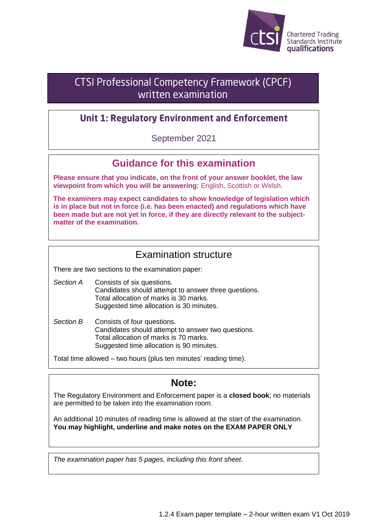

# **CTSI Professional Competency Framework (CPCF)** written examination

## **Unit 1: Regulatory Environment and Enforcement**

September 2021

# **Guidance for this examination**

**Please ensure that you indicate, on the front of your answer booklet, the law viewpoint from which you will be answering:** English, Scottish or Welsh.

**The examiners may expect candidates to show knowledge of legislation which is in place but not in force (i.e. has been enacted) and regulations which have been made but are not yet in force, if they are directly relevant to the subjectmatter of the examination.**

## Examination structure

There are two sections to the examination paper:

*Section A* Consists of six questions. Candidates should attempt to answer three questions. Total allocation of marks is 30 marks. Suggested time allocation is 30 minutes.

*Section B* Consists of four questions. Candidates should attempt to answer two questions. Total allocation of marks is 70 marks. Suggested time allocation is 90 minutes.

Total time allowed – two hours (plus ten minutes' reading time).

## **Note:**

The Regulatory Environment and Enforcement paper is a **closed book**; no materials are permitted to be taken into the examination room.

An additional 10 minutes of reading time is allowed at the start of the examination. **You may highlight, underline and make notes on the EXAM PAPER ONLY**

*The examination paper has 5 pages, including this front sheet.*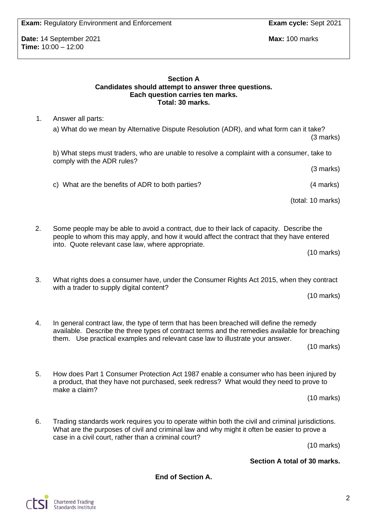**Date:** 14 September 2021 **Max:** 100 marks **Time:** 10:00 – 12:00

> **Section A Candidates should attempt to answer three questions. Each question carries ten marks. Total: 30 marks.**

1. Answer all parts:

a) What do we mean by Alternative Dispute Resolution (ADR), and what form can it take? (3 marks)

b) What steps must traders, who are unable to resolve a complaint with a consumer, take to comply with the ADR rules?

(3 marks)

c) What are the benefits of ADR to both parties? (4 marks)

(total: 10 marks)

2. Some people may be able to avoid a contract, due to their lack of capacity. Describe the people to whom this may apply, and how it would affect the contract that they have entered into. Quote relevant case law, where appropriate.

(10 marks)

3. What rights does a consumer have, under the Consumer Rights Act 2015, when they contract with a trader to supply digital content?

(10 marks)

4. In general contract law, the type of term that has been breached will define the remedy available. Describe the three types of contract terms and the remedies available for breaching them. Use practical examples and relevant case law to illustrate your answer.

(10 marks)

5. How does Part 1 Consumer Protection Act 1987 enable a consumer who has been injured by a product, that they have not purchased, seek redress? What would they need to prove to make a claim?

(10 marks)

6. Trading standards work requires you to operate within both the civil and criminal jurisdictions. What are the purposes of civil and criminal law and why might it often be easier to prove a case in a civil court, rather than a criminal court?

(10 marks)

**Section A total of 30 marks.**

**End of Section A.**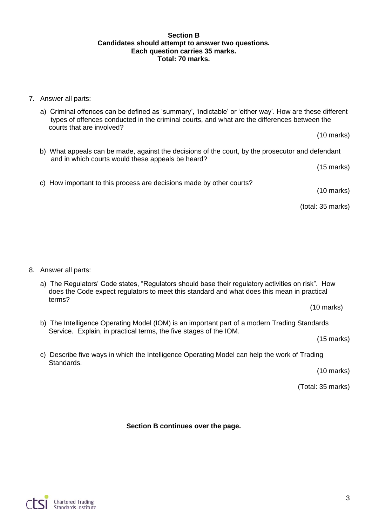#### **Section B Candidates should attempt to answer two questions. Each question carries 35 marks. Total: 70 marks.**

#### 7. Answer all parts:

a) Criminal offences can be defined as 'summary', 'indictable' or 'either way'. How are these different types of offences conducted in the criminal courts, and what are the differences between the courts that are involved?

(10 marks)

b) What appeals can be made, against the decisions of the court, by the prosecutor and defendant and in which courts would these appeals be heard?

(15 marks)

c) How important to this process are decisions made by other courts?

(10 marks)

(total: 35 marks)

8. Answer all parts:

a) The Regulators' Code states, "Regulators should base their regulatory activities on risk". How does the Code expect regulators to meet this standard and what does this mean in practical terms?

(10 marks)

b) The Intelligence Operating Model (IOM) is an important part of a modern Trading Standards Service. Explain, in practical terms, the five stages of the IOM.

(15 marks)

c) Describe five ways in which the Intelligence Operating Model can help the work of Trading Standards.

(10 marks)

(Total: 35 marks)

**Section B continues over the page.**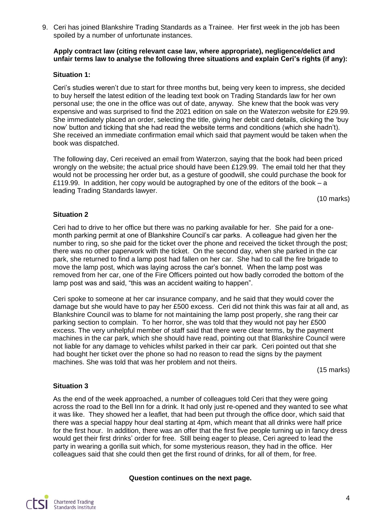9. Ceri has joined Blankshire Trading Standards as a Trainee. Her first week in the job has been spoiled by a number of unfortunate instances.

#### **Apply contract law (citing relevant case law, where appropriate), negligence/delict and unfair terms law to analyse the following three situations and explain Ceri's rights (if any):**

#### **Situation 1:**

Ceri's studies weren't due to start for three months but, being very keen to impress, she decided to buy herself the latest edition of the leading text book on Trading Standards law for her own personal use; the one in the office was out of date, anyway. She knew that the book was very expensive and was surprised to find the 2021 edition on sale on the Waterzon website for £29.99. She immediately placed an order, selecting the title, giving her debit card details, clicking the 'buy now' button and ticking that she had read the website terms and conditions (which she hadn't). She received an immediate confirmation email which said that payment would be taken when the book was dispatched.

The following day, Ceri received an email from Waterzon, saying that the book had been priced wrongly on the website; the actual price should have been £129.99. The email told her that they would not be processing her order but, as a gesture of goodwill, she could purchase the book for £119.99. In addition, her copy would be autographed by one of the editors of the book – a leading Trading Standards lawyer.

(10 marks)

#### **Situation 2**

Ceri had to drive to her office but there was no parking available for her. She paid for a onemonth parking permit at one of Blankshire Council's car parks. A colleague had given her the number to ring, so she paid for the ticket over the phone and received the ticket through the post; there was no other paperwork with the ticket. On the second day, when she parked in the car park, she returned to find a lamp post had fallen on her car. She had to call the fire brigade to move the lamp post, which was laying across the car's bonnet. When the lamp post was removed from her car, one of the Fire Officers pointed out how badly corroded the bottom of the lamp post was and said, "this was an accident waiting to happen".

Ceri spoke to someone at her car insurance company, and he said that they would cover the damage but she would have to pay her £500 excess. Ceri did not think this was fair at all and, as Blankshire Council was to blame for not maintaining the lamp post properly, she rang their car parking section to complain. To her horror, she was told that they would not pay her £500 excess. The very unhelpful member of staff said that there were clear terms, by the payment machines in the car park, which she should have read, pointing out that Blankshire Council were not liable for any damage to vehicles whilst parked in their car park. Ceri pointed out that she had bought her ticket over the phone so had no reason to read the signs by the payment machines. She was told that was her problem and not theirs.

(15 marks)

#### **Situation 3**

As the end of the week approached, a number of colleagues told Ceri that they were going across the road to the Bell Inn for a drink. It had only just re-opened and they wanted to see what it was like. They showed her a leaflet, that had been put through the office door, which said that there was a special happy hour deal starting at 4pm, which meant that all drinks were half price for the first hour. In addition, there was an offer that the first five people turning up in fancy dress would get their first drinks' order for free. Still being eager to please, Ceri agreed to lead the party in wearing a gorilla suit which, for some mysterious reason, they had in the office. Her colleagues said that she could then get the first round of drinks, for all of them, for free.

#### **Question continues on the next page.**